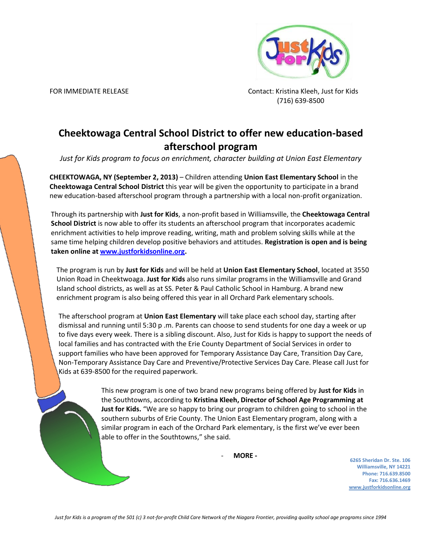

FOR IMMEDIATE RELEASE CONTACT: Kristina Kleeh, Just for Kids (716) 639-8500

## **Cheektowaga Central School District to offer new education-based afterschool program**

*Just for Kids program to focus on enrichment, character building at Union East Elementary*

**CHEEKTOWAGA, NY (September 2, 2013)** – Children attending **Union East Elementary School** in the **Cheektowaga Central School District** this year will be given the opportunity to participate in a brand new education-based afterschool program through a partnership with a local non-profit organization.

Through its partnership with **Just for Kids**, a non-profit based in Williamsville, the **Cheektowaga Central School District** is now able to offer its students an afterschool program that incorporates academic enrichment activities to help improve reading, writing, math and problem solving skills while at the same time helping children develop positive behaviors and attitudes. **Registration is open and is being taken online at [www.justforkidsonline.org.](www.justforkidsonline.org)**

The program is run by **Just for Kids** and will be held at **Union East Elementary School**, located at 3550 Union Road in Cheektwoaga. **Just for Kids** also runs similar programs in the Williamsville and Grand Island school districts, as well as at SS. Peter & Paul Catholic School in Hamburg. A brand new enrichment program is also being offered this year in all Orchard Park elementary schools.

The afterschool program at **Union East Elementary** will take place each school day, starting after dismissal and running until 5:30 p .m. Parents can choose to send students for one day a week or up to five days every week. There is a sibling discount. Also, Just for Kids is happy to support the needs of local families and has contracted with the Erie County Department of Social Services in order to support families who have been approved for Temporary Assistance Day Care, Transition Day Care, Non-Temporary Assistance Day Care and Preventive/Protective Services Day Care. Please call Just for Kids at 639-8500 for the required paperwork.

> This new program is one of two brand new programs being offered by **Just for Kids** in the Southtowns, according to **Kristina Kleeh, Director of School Age Programming at Just for Kids.** "We are so happy to bring our program to children going to school in the southern suburbs of Erie County. The Union East Elementary program, along with a similar program in each of the Orchard Park elementary, is the first we've ever been able to offer in the Southtowns," she said.

> > - **MORE -**

**6265 Sheridan Dr. Ste. 106 Williamsville, NY 14221 Phone: 716.639.8500 Fax: 716.636.1469 www.justforkidsonline.org**